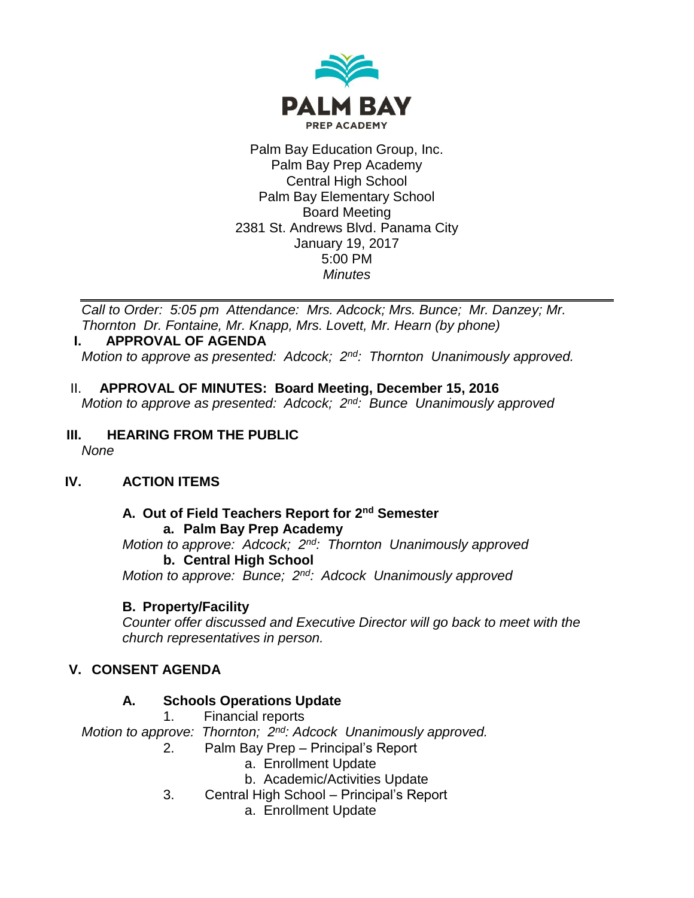

Palm Bay Education Group, Inc. Palm Bay Prep Academy Central High School Palm Bay Elementary School Board Meeting 2381 St. Andrews Blvd. Panama City January 19, 2017 5:00 PM *Minutes*

*Call to Order: 5:05 pm Attendance: Mrs. Adcock; Mrs. Bunce; Mr. Danzey; Mr. Thornton Dr. Fontaine, Mr. Knapp, Mrs. Lovett, Mr. Hearn (by phone)*

#### **I. APPROVAL OF AGENDA**

*Motion to approve as presented: Adcock; 2nd: Thornton Unanimously approved.*

II. **APPROVAL OF MINUTES: Board Meeting, December 15, 2016** *Motion to approve as presented: Adcock; 2nd: Bunce Unanimously approved*

#### **III. HEARING FROM THE PUBLIC** *None*

# **IV. ACTION ITEMS**

#### **A. Out of Field Teachers Report for 2nd Semester a. Palm Bay Prep Academy** *Motion to approve: Adcock; 2nd: Thornton Unanimously approved* **b. Central High School**  *Motion to approve: Bunce; 2nd: Adcock Unanimously approved*

# **B. Property/Facility**

*Counter offer discussed and Executive Director will go back to meet with the church representatives in person.*

# **V. CONSENT AGENDA**

# **A. Schools Operations Update**

1. Financial reports

*Motion to approve: Thornton; 2nd: Adcock Unanimously approved.*

- 2. Palm Bay Prep Principal's Report
	- a. Enrollment Update
	- b. Academic/Activities Update
- 3. Central High School Principal's Report
	- a. Enrollment Update